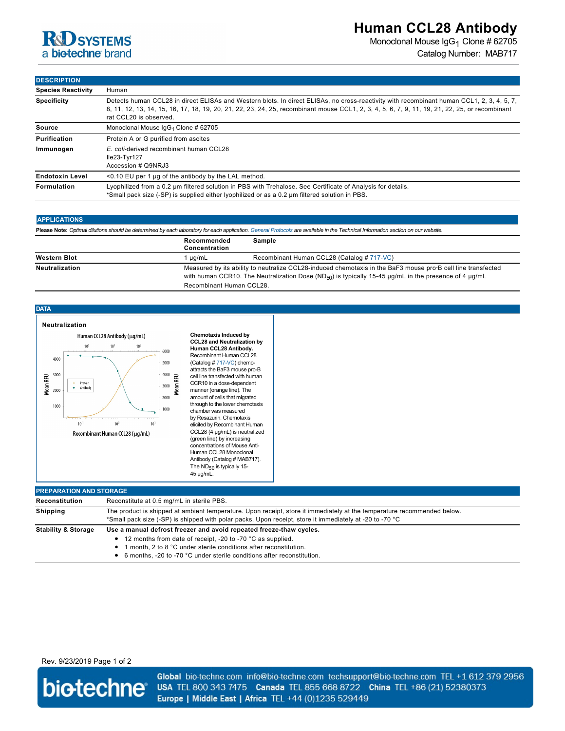

Monoclonal Mouse IgG<sub>1</sub> Clone # 62705 Catalog Number: MAB717

### **DESCRIPTION**

| <b>Species Reactivity</b> | Human                                                                                                                                                                                                                                                                                                                 |  |
|---------------------------|-----------------------------------------------------------------------------------------------------------------------------------------------------------------------------------------------------------------------------------------------------------------------------------------------------------------------|--|
| <b>Specificity</b>        | Detects human CCL28 in direct ELISAs and Western blots. In direct ELISAs, no cross-reactivity with recombinant human CCL1, 2, 3, 4, 5, 7,<br>8, 11, 12, 13, 14, 15, 16, 17, 18, 19, 20, 21, 22, 23, 24, 25, recombinant mouse CCL1, 2, 3, 4, 5, 6, 7, 9, 11, 19, 21, 22, 25, or recombinant<br>rat CCL20 is observed. |  |
| Source                    | Monoclonal Mouse $\lg G_1$ Clone # 62705                                                                                                                                                                                                                                                                              |  |
| Purification              | Protein A or G purified from ascites                                                                                                                                                                                                                                                                                  |  |
| Immunogen                 | E. coli-derived recombinant human CCL28<br>$lle23-Tyr127$<br>Accession # Q9NRJ3                                                                                                                                                                                                                                       |  |
| <b>Endotoxin Level</b>    | $<$ 0.10 EU per 1 µq of the antibody by the LAL method.                                                                                                                                                                                                                                                               |  |
| Formulation               | Lyophilized from a 0.2 um filtered solution in PBS with Trehalose. See Certificate of Analysis for details.<br>*Small pack size (-SP) is supplied either lyophilized or as a 0.2 um filtered solution in PBS.                                                                                                         |  |

### **APPLICATIONS**

| Please Note: Optimal dilutions should be determined by each laboratory for each application. General Protocols are available in the Technical Information section on our website. |        |
|-----------------------------------------------------------------------------------------------------------------------------------------------------------------------------------|--------|
| Recommended                                                                                                                                                                       | Sample |

|                     | RECOMMENT<br>Concentration | oalibie                                                                                                                                                                                                                               |
|---------------------|----------------------------|---------------------------------------------------------------------------------------------------------------------------------------------------------------------------------------------------------------------------------------|
| <b>Western Blot</b> | uq/mL                      | Recombinant Human CCL28 (Catalog # 717-VC)                                                                                                                                                                                            |
| Neutralization      |                            | Measured by its ability to neutralize CCL28-induced chemotaxis in the BaF3 mouse pro-B cell line transfected<br>with human CCR10. The Neutralization Dose (ND $_{50}$ ) is typically 15-45 $\mu$ g/mL in the presence of 4 $\mu$ g/mL |
|                     | Recombinant Human CCL28.   |                                                                                                                                                                                                                                       |

**DATA**



| Reconstitution                 | Reconstitute at 0.5 mg/mL in sterile PBS.                                                                                                                                                                                                                                                 |
|--------------------------------|-------------------------------------------------------------------------------------------------------------------------------------------------------------------------------------------------------------------------------------------------------------------------------------------|
| <b>Shipping</b>                | The product is shipped at ambient temperature. Upon receipt, store it immediately at the temperature recommended below.<br>*Small pack size (-SP) is shipped with polar packs. Upon receipt, store it immediately at -20 to -70 °C                                                        |
| <b>Stability &amp; Storage</b> | Use a manual defrost freezer and avoid repeated freeze-thaw cycles.<br>• 12 months from date of receipt, -20 to -70 °C as supplied.<br>1 month, 2 to 8 °C under sterile conditions after reconstitution.<br>٠<br>• 6 months. -20 to -70 °C under sterile conditions after reconstitution. |

## Rev. 9/23/2019 Page 1 of 2



Global bio-techne.com info@bio-techne.com techsupport@bio-techne.com TEL +1 612 379 2956 USA TEL 800 343 7475 Canada TEL 855 668 8722 China TEL +86 (21) 52380373 Europe | Middle East | Africa TEL +44 (0)1235 529449